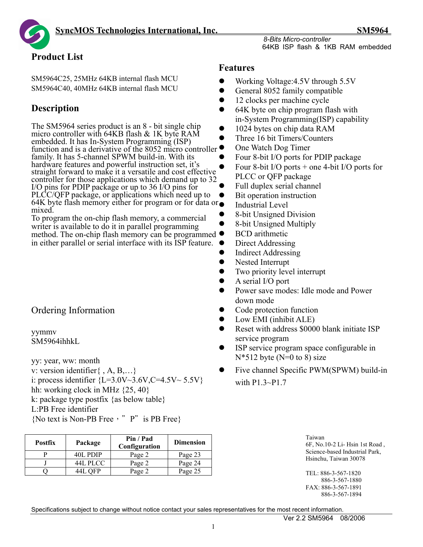# **Product List**

SM5964C25, 25MHz 64KB internal flash MCU SM5964C40, 40MHz 64KB internal flash MCU

# **Description**

The SM5964 series product is an 8 - bit single chip micro controller with 64KB flash & 1K byte RAM embedded. It has In-System Programming (ISP) function and is a derivative of the 8052 micro controller  $\bullet$ family. It has 5-channel SPWM build-in. With its hardware features and powerful instruction set, it's straight forward to make it a versatile and cost effective controller for those applications which demand up to 32 I/O pins for PDIP package or up to 36 I/O pins for PLCC/QFP package, or applications which need up to 64K byte flash memory either for program or for data or mixed.

To program the on-chip flash memory, a commercial writer is available to do it in parallel programming method. The on-chip flash memory can be programmed in either parallel or serial interface with its ISP feature.

# Ordering Information

yymmv SM5964ihhkL

yy: year, ww: month

- v: version identifier{ , A, B,…}
- i: process identifier  ${L=3.0V\sim3.6V, C=4.5V\sim 5.5V}$
- hh: working clock in MHz  $\{25, 40\}$
- k: package type postfix {as below table}

L:PB Free identifier

{No text is Non-PB Free, "P" is PB Free}

| <b>Postfix</b> | Package  | Pin / Pad<br>Configuration |         |  |
|----------------|----------|----------------------------|---------|--|
|                | 40L PDIP | Page 2                     | Page 23 |  |
|                | 44L PLCC | Page 2                     | Page 24 |  |
|                | 44L OFP  | Page 2                     | Page 25 |  |

# **Features**

- Working Voltage: 4.5V through 5.5V
- $\bullet$  General 8052 family compatible
- $\bullet$  12 clocks per machine cycle
- 64K byte on chip program flash with in-System Programming(ISP) capability
- $\bullet$  1024 bytes on chip data RAM
- Three 16 bit Timers/Counters
- One Watch Dog Timer
- Four 8-bit I/O ports for PDIP package
- Four 8-bit I/O ports  $+$  one 4-bit I/O ports for PLCC or QFP package
	- Full duplex serial channel
	- Bit operation instruction
- Industrial Level
- 8-bit Unsigned Division
- 8-bit Unsigned Multiply
- **BCD** arithmetic
- Direct Addressing
- $\bullet$  Indirect Addressing
- Nested Interrupt
- $\bullet$  Two priority level interrupt
- $\bullet$  A serial I/O port
- Power save modes: Idle mode and Power down mode
- Code protection function
- Low EMI (inhibit ALE)
- Reset with address \$0000 blank initiate ISP service program
- ISP service program space configurable in  $N*512$  byte  $(N=0 \text{ to } 8)$  size
- Five channel Specific PWM(SPWM) build-in with P1.3~P1.7

| Taiwan<br>6F, No.10-2 Li-Hsin 1st Road, |
|-----------------------------------------|
| Science-based Industrial Park,          |
| Hsinchu. Taiwan 30078                   |

TEL: 886-3-567-1820 886-3-567-1880 FAX: 886-3-567-1891 886-3-567-1894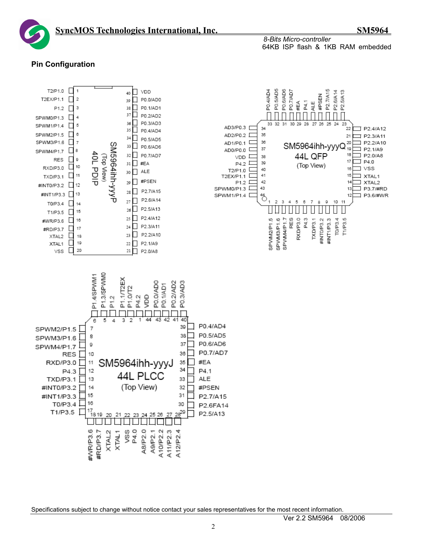

#### **Pin Configuration**

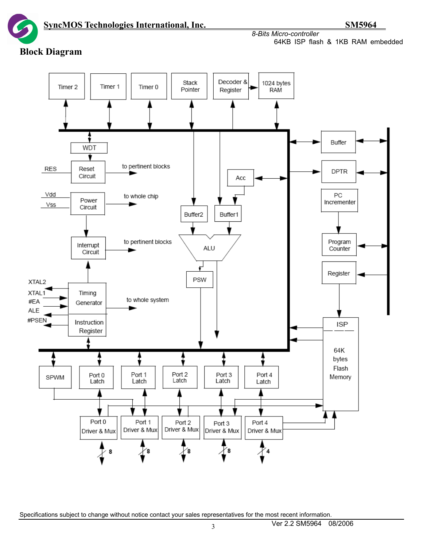*8-Bits Micro-controller*  64KB ISP flash & 1KB RAM embedded

# **Block Diagram**

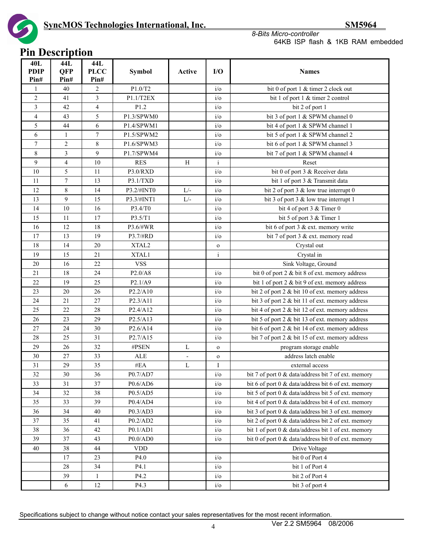

#### *8-Bits Micro-controller*  64KB ISP flash & 1KB RAM embedded

# **Pin Description**

| 40L<br><b>PDIP</b><br>Pin# | 44L<br><b>OFP</b><br>Pin# | 44L<br><b>PLCC</b><br>Pin# | <b>Symbol</b>                     | Active                   | I/O           | <b>Names</b>                                        |
|----------------------------|---------------------------|----------------------------|-----------------------------------|--------------------------|---------------|-----------------------------------------------------|
| 1                          | 40                        | $\mathbf{2}$               | P1.0/T2                           |                          | $i$ /0        | bit 0 of port 1 & timer 2 clock out                 |
| $\overline{c}$             | 41                        | 3                          | P1.1/T2EX                         |                          | $i$ o         | bit 1 of port 1 & timer 2 control                   |
| 3                          | 42                        | $\overline{4}$             | P1.2                              |                          | $i$ o         | bit 2 of port 1                                     |
| 4                          | 43                        | 5                          | P1.3/SPWM0                        |                          | $i$ / $\circ$ | bit 3 of port 1 & SPWM channel 0                    |
| 5                          | 44                        | 6                          | P1.4/SPWM1                        |                          | $i$ / $\circ$ | bit 4 of port 1 & SPWM channel 1                    |
| 6                          | 1                         | 7                          | P1.5/SPWM2                        |                          | $i$ o         | bit 5 of port 1 & SPWM channel 2                    |
| $\overline{7}$             | $\overline{c}$            | 8                          | P1.6/SPWM3                        |                          | $i$ o         | bit 6 of port 1 & SPWM channel 3                    |
| 8                          | 3                         | 9                          | P1.7/SPWM4                        |                          | $i$ / $\circ$ | bit 7 of port 1 & SPWM channel 4                    |
| 9                          | $\overline{\mathcal{L}}$  | 10                         | <b>RES</b>                        | H                        | i             | Reset                                               |
| 10                         | 5                         | 11                         | P3.0/RXD                          |                          | $i$ o         | bit 0 of port 3 & Receiver data                     |
| 11                         | 7                         | 13                         | P3.1/TXD                          |                          | $i$ o         | bit 1 of port 3 & Transmit data                     |
| 12                         | 8                         | 14                         | P3.2/#INT0                        | $L/-$                    | $i$ o         | bit 2 of port 3 $&$ low true interrupt 0            |
| 13                         | 9                         | 15                         | P3.3/#INT1                        | $L/-$                    | $i$ o         | bit 3 of port 3 $&$ low true interrupt 1            |
| 14                         | 10                        | 16                         | P3.4/T0                           |                          | $i$ o         | bit 4 of port 3 $&$ Timer 0                         |
| 15                         | 11                        | 17                         | P3.5/T1                           |                          | $i$ o         | bit 5 of port 3 & Timer 1                           |
| 16                         | 12                        | 18                         | P3.6/#WR                          |                          | $i$ /0        | bit 6 of port 3 $&$ ext. memory write               |
| 17                         | 13                        | 19                         | P3.7/#RD                          |                          | $i$ o         | bit 7 of port 3 & ext. memory read                  |
| 18                         | 14                        | 20                         | XTAL2                             |                          | $\mathbf{o}$  | Crystal out                                         |
| 19                         | 15                        | 21                         | XTAL1                             |                          | $\mathbf{i}$  | Crystal in                                          |
| 20                         | 16                        | 22                         | <b>VSS</b>                        |                          |               | Sink Voltage, Ground                                |
| 21                         | 18                        | 24                         | P2.0/A8                           |                          | $i$ /0        | bit 0 of port 2 & bit 8 of ext. memory address      |
| 22                         | 19                        | 25                         | P2.1/A9                           |                          | $i$ o         | bit 1 of port 2 & bit 9 of ext. memory address      |
| 23                         | 20                        | 26                         | P2.2/A10                          |                          | $i$ o         | bit 2 of port 2 & bit 10 of ext. memory address     |
| 24                         | 21                        | 27                         | P2.3/A11                          |                          | $i$ o         | bit 3 of port 2 & bit 11 of ext. memory address     |
| 25                         | 22                        | 28                         | P2.4/A12                          |                          | $i$ o         | bit 4 of port 2 & bit 12 of ext. memory address     |
| 26                         | 23                        | 29                         | P2.5/A13                          |                          | $i$ o         | bit 5 of port 2 & bit 13 of ext. memory address     |
| 27                         | 24                        | 30                         | P2.6/A14                          |                          | $i$ / $\circ$ | bit 6 of port 2 & bit 14 of ext. memory address     |
| 28                         | 25                        | 31                         | P <sub>2.7</sub> /A <sub>15</sub> |                          | $i$ /0        | bit 7 of port 2 & bit 15 of ext. memory address     |
| 29                         | 26                        | 32                         | #PSEN                             | L                        | $\mathbf 0$   | program storage enable                              |
| 30                         | 27                        | 33                         | <b>ALE</b>                        | $\overline{\phantom{a}}$ | $\mathbf{o}$  | address latch enable                                |
| 31                         | 29                        | 35                         | #EA                               | L                        | Ι             | external access                                     |
| 32                         | $30\,$                    | 36                         | P0.7/AD7                          |                          | $i$ / $\circ$ | bit 7 of port 0 & data/address bit 7 of ext. memory |
| 33                         | 31                        | 37                         | P0.6/AD6                          |                          | $i$ / $o$     | bit 6 of port 0 & data/address bit 6 of ext. memory |
| 34                         | 32                        | 38                         | P0.5/AD5                          |                          | $i$ / $\circ$ | bit 5 of port 0 & data/address bit 5 of ext. memory |
| 35                         | 33                        | 39                         | P0.4/AD4                          |                          | $i$ / $\circ$ | bit 4 of port 0 & data/address bit 4 of ext. memory |
| 36                         | 34                        | 40                         | P0.3/AD3                          |                          | $i$ / $o$     | bit 3 of port 0 & data/address bit 3 of ext. memory |
| 37                         | 35                        | 41                         | P0.2/AD2                          |                          | $i$ o         | bit 2 of port 0 & data/address bit 2 of ext. memory |
| 38                         | 36                        | 42                         | P0.1/AD1                          |                          | $i$ / $\circ$ | bit 1 of port 0 & data/address bit 1 of ext. memory |
| 39                         | 37                        | 43                         | P0.0/AD0                          |                          | $i$ / $\circ$ | bit 0 of port 0 & data/address bit 0 of ext. memory |
| 40                         | 38                        | 44                         | $\ensuremath{\mathrm{VDD}}$       |                          |               | Drive Voltage                                       |
|                            | 17                        | 23                         | P4.0                              |                          | $i$ o         | bit 0 of Port 4                                     |
|                            | 28                        | 34                         | P4.1                              |                          | $i$ o         | bit 1 of Port 4                                     |
|                            | 39                        | $\mathbf{1}$               | P4.2                              |                          | $i$ / $\circ$ | bit 2 of Port 4                                     |
|                            | 6                         | $12\,$                     | P4.3                              |                          | $i$ / $\circ$ | bit 3 of port 4                                     |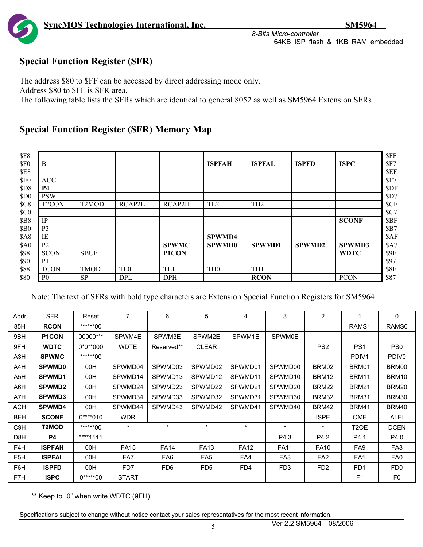

# **Special Function Register (SFR)**

The address \$80 to \$FF can be accessed by direct addressing mode only.

Address \$80 to \$FF is SFR area.

The following table lists the SFRs which are identical to general 8052 as well as SM5964 Extension SFRs .

# **Special Function Register (SFR) Memory Map**

| <b>\$F8</b>                    |                    |                 |              |                 |                 |               |               |
|--------------------------------|--------------------|-----------------|--------------|-----------------|-----------------|---------------|---------------|
| \$F <sub>0</sub><br>B          |                    |                 |              | <b>ISPFAH</b>   | <b>ISPFAL</b>   | <b>ISPFD</b>  | <b>ISPC</b>   |
| <b>\$E8</b>                    |                    |                 |              |                 |                 |               |               |
| \$E0<br><b>ACC</b>             |                    |                 |              |                 |                 |               |               |
| \$D8<br><b>P4</b>              |                    |                 |              |                 |                 |               |               |
| <b>PSW</b><br>\$D <sub>0</sub> |                    |                 |              |                 |                 |               |               |
| SC8<br>T <sub>2</sub> CON      | T <sub>2</sub> MOD | RCAP2L          | RCAP2H       | TL <sub>2</sub> | TH <sub>2</sub> |               |               |
| SC0                            |                    |                 |              |                 |                 |               |               |
| <b>\$B8</b><br>IP              |                    |                 |              |                 |                 |               | <b>SCONF</b>  |
| <b>\$B0</b><br>P <sub>3</sub>  |                    |                 |              |                 |                 |               |               |
| IE<br><b>\$A8</b>              |                    |                 |              | <b>SPWMD4</b>   |                 |               |               |
| P <sub>2</sub><br><b>\$A0</b>  |                    |                 | <b>SPWMC</b> | <b>SPWMD0</b>   | <b>SPWMD1</b>   | <b>SPWMD2</b> | <b>SPWMD3</b> |
| <b>SCON</b>                    | <b>SBUF</b>        |                 | P1CON        |                 |                 |               | <b>WDTC</b>   |
| P <sub>1</sub>                 |                    |                 |              |                 |                 |               |               |
| <b>TCON</b>                    | <b>TMOD</b>        | TL <sub>0</sub> | TL1          | TH <sub>0</sub> | TH <sub>1</sub> |               |               |
| \$80<br>P <sub>0</sub>         | <b>SP</b>          | <b>DPL</b>      | <b>DPH</b>   |                 | <b>RCON</b>     |               | <b>PCON</b>   |

Note: The text of SFRs with bold type characters are Extension Special Function Registers for SM5964

| Addr             | <b>SFR</b>         | Reset      | $\overline{7}$ | 6               | 5               | 4           | 3               | $\overline{2}$  |                   | 0                 |
|------------------|--------------------|------------|----------------|-----------------|-----------------|-------------|-----------------|-----------------|-------------------|-------------------|
| 85H              | <b>RCON</b>        | ******00   |                |                 |                 |             |                 |                 | RAMS1             | RAMS0             |
| 9BH              | P <sub>1</sub> CON | 00000***   | SPWM4E         | SPWM3E          | SPWM2E          | SPWM1E      | <b>SPWM0E</b>   |                 |                   |                   |
| 9FH              | <b>WDTC</b>        | $0*0**000$ | <b>WDTE</b>    | Reserved**      | <b>CLEAR</b>    |             |                 | PS <sub>2</sub> | PS <sub>1</sub>   | PS <sub>0</sub>   |
| A3H              | <b>SPWMC</b>       | ******00   |                |                 |                 |             |                 |                 | PDIV1             | PDIV <sub>0</sub> |
| A4H              | <b>SPWMD0</b>      | 00H        | SPWMD04        | SPWMD03         | SPWMD02         | SPWMD01     | SPWMD00         | BRM02           | BRM01             | BRM00             |
| A5H              | SPWMD1             | 00H        | SPWMD14        | SPWMD13         | SPWMD12         | SPWMD11     | SPWMD10         | BRM12           | BRM11             | BRM10             |
| A6H              | <b>SPWMD2</b>      | 00H        | SPWMD24        | SPWMD23         | SPWMD22         | SPWMD21     | SPWMD20         | BRM22           | <b>BRM21</b>      | BRM20             |
| A7H              | <b>SPWMD3</b>      | 00H        | SPWMD34        | SPWMD33         | SPWMD32         | SPWMD31     | SPWMD30         | BRM32           | BRM31             | BRM30             |
| <b>ACH</b>       | <b>SPWMD4</b>      | 00H        | SPWMD44        | SPWMD43         | SPWMD42         | SPWMD41     | SPWMD40         | <b>BRM42</b>    | <b>BRM41</b>      | BRM40             |
| <b>BFH</b>       | <b>SCONF</b>       | $0***010$  | <b>WDR</b>     |                 |                 |             |                 | <b>ISPE</b>     | <b>OME</b>        | <b>ALEI</b>       |
| C <sub>9</sub> H | T2MOD              | ******00   | $\star$        | $\star$         | $\star$         | $\star$     | $\star$         | $\star$         | T <sub>2</sub> OE | <b>DCEN</b>       |
| D8H              | P4                 | ****1111   |                |                 |                 |             | P4.3            | P4.2            | P4.1              | P4.0              |
| F4H              | <b>ISPFAH</b>      | 00H        | <b>FA15</b>    | <b>FA14</b>     | <b>FA13</b>     | <b>FA12</b> | <b>FA11</b>     | <b>FA10</b>     | FA <sub>9</sub>   | FA8               |
| F <sub>5</sub> H | <b>ISPFAL</b>      | 00H        | FA7            | FA <sub>6</sub> | FA <sub>5</sub> | FA4         | FA <sub>3</sub> | FA <sub>2</sub> | FA <sub>1</sub>   | FA <sub>0</sub>   |
| F6H              | <b>ISPFD</b>       | 00H        | FD7            | FD <sub>6</sub> | FD <sub>5</sub> | FD4         | FD <sub>3</sub> | FD <sub>2</sub> | F <sub>D</sub> 1  | FD <sub>0</sub>   |
| F7H              | <b>ISPC</b>        | $0****00$  | <b>START</b>   |                 |                 |             |                 |                 | F <sub>1</sub>    | F <sub>0</sub>    |

\*\* Keep to "0" when write WDTC (9FH).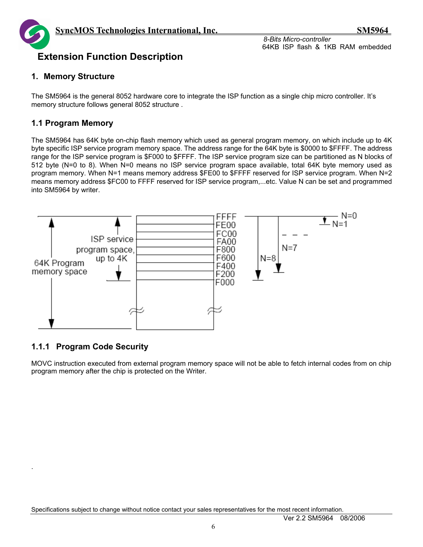

# **Extension Function Description**

#### **1. Memory Structure**

The SM5964 is the general 8052 hardware core to integrate the ISP function as a single chip micro controller. It's memory structure follows general 8052 structure .

# **1.1 Program Memory**

The SM5964 has 64K byte on-chip flash memory which used as general program memory, on which include up to 4K byte specific ISP service program memory space. The address range for the 64K byte is \$0000 to \$FFFF. The address range for the ISP service program is \$F000 to \$FFFF. The ISP service program size can be partitioned as N blocks of 512 byte (N=0 to 8). When N=0 means no ISP service program space available, total 64K byte memory used as program memory. When N=1 means memory address \$FE00 to \$FFFF reserved for ISP service program. When N=2 means memory address \$FC00 to FFFF reserved for ISP service program,...etc. Value N can be set and programmed into SM5964 by writer.



# **1.1.1 Program Code Security**

.

MOVC instruction executed from external program memory space will not be able to fetch internal codes from on chip program memory after the chip is protected on the Writer.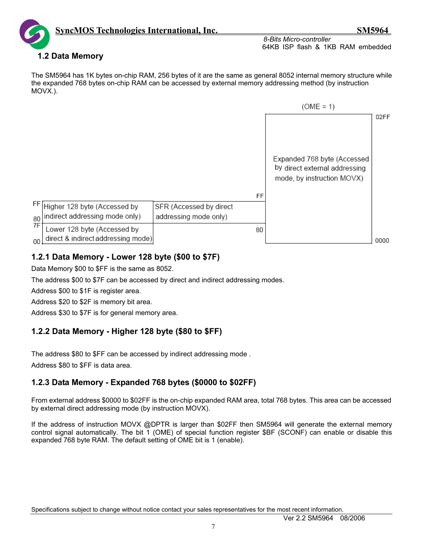

# **1.2 Data Memory**

The SM5964 has 1K bytes on-chip RAM, 256 bytes of it are the same as general 8052 internal memory structure while the expanded 768 bytes on-chip RAM can be accessed by external memory addressing method (by instruction MOVX.).



# **1.2.1 Data Memory - Lower 128 byte (\$00 to \$7F)**

Data Memory \$00 to \$FF is the same as 8052.

The address \$00 to \$7F can be accessed by direct and indirect addressing modes.

Address \$00 to \$1F is register area.

Address \$20 to \$2F is memory bit area.

Address \$30 to \$7F is for general memory area.

# **1.2.2 Data Memory - Higher 128 byte (\$80 to \$FF)**

The address \$80 to \$FF can be accessed by indirect addressing mode .

Address \$80 to \$FF is data area.

# **1.2.3 Data Memory - Expanded 768 bytes (\$0000 to \$02FF)**

From external address \$0000 to \$02FF is the on-chip expanded RAM area, total 768 bytes. This area can be accessed by external direct addressing mode (by instruction MOVX).

If the address of instruction MOVX @DPTR is larger than \$02FF then SM5964 will generate the external memory control signal automatically. The bit 1 (OME) of special function register \$BF (SCONF) can enable or disable this expanded 768 byte RAM. The default setting of OME bit is 1 (enable).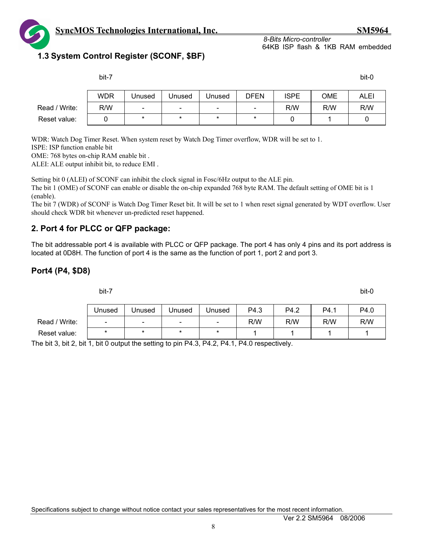

# **1.3 System Control Register (SCONF, \$BF)**

|               | bit-7      |                          |                          |                          |                          |             |     | bit-0       |
|---------------|------------|--------------------------|--------------------------|--------------------------|--------------------------|-------------|-----|-------------|
|               | <b>WDR</b> | Unused                   | Unused                   | Unused                   | DFEN                     | <b>ISPE</b> | OME | <b>ALEI</b> |
| Read / Write: | R/W        | $\overline{\phantom{a}}$ | $\overline{\phantom{a}}$ | $\overline{\phantom{a}}$ | $\overline{\phantom{a}}$ | R/W         | R/W | R/W         |
| Reset value:  |            | $\ast$                   | $\ast$                   | $\star$                  | $\star$                  |             |     |             |

WDR: Watch Dog Timer Reset. When system reset by Watch Dog Timer overflow, WDR will be set to 1.

ISPE: ISP function enable bit

OME: 768 bytes on-chip RAM enable bit .

ALEI: ALE output inhibit bit, to reduce EMI .

Setting bit 0 (ALEI) of SCONF can inhibit the clock signal in Fosc/6Hz output to the ALE pin.

The bit 1 (OME) of SCONF can enable or disable the on-chip expanded 768 byte RAM. The default setting of OME bit is 1 (enable).

The bit 7 (WDR) of SCONF is Watch Dog Timer Reset bit. It will be set to 1 when reset signal generated by WDT overflow. User should check WDR bit whenever un-predicted reset happened.

#### **2. Port 4 for PLCC or QFP package:**

The bit addressable port 4 is available with PLCC or QFP package. The port 4 has only 4 pins and its port address is located at 0D8H. The function of port 4 is the same as the function of port 1, port 2 and port 3.

#### **Port4 (P4, \$D8)**

bit-7 bit-0

|                    | Unused | Unused | Unused | Unused | P4.3 | P4.2 | P4. . | P4.0 |
|--------------------|--------|--------|--------|--------|------|------|-------|------|
| ' Write:<br>Read / | $\sim$ | -      | -      | -      | R/W  | R/W  | R/W   | R/W  |
| Reset value:       |        | ×      |        |        |      |      |       |      |

The bit 3, bit 2, bit 1, bit 0 output the setting to pin P4.3, P4.2, P4.1, P4.0 respectively.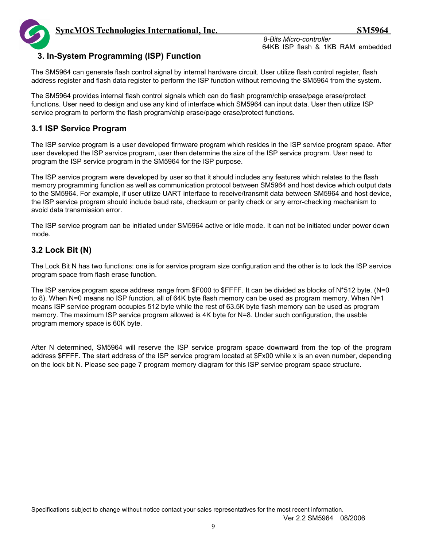*8-Bits Micro-controller* 

64KB ISP flash & 1KB RAM embedded



#### **3. In-System Programming (ISP) Function**

The SM5964 can generate flash control signal by internal hardware circuit. User utilize flash control register, flash address register and flash data register to perform the ISP function without removing the SM5964 from the system.

The SM5964 provides internal flash control signals which can do flash program/chip erase/page erase/protect functions. User need to design and use any kind of interface which SM5964 can input data. User then utilize ISP service program to perform the flash program/chip erase/page erase/protect functions.

## **3.1 ISP Service Program**

The ISP service program is a user developed firmware program which resides in the ISP service program space. After user developed the ISP service program, user then determine the size of the ISP service program. User need to program the ISP service program in the SM5964 for the ISP purpose.

The ISP service program were developed by user so that it should includes any features which relates to the flash memory programming function as well as communication protocol between SM5964 and host device which output data to the SM5964. For example, if user utilize UART interface to receive/transmit data between SM5964 and host device, the ISP service program should include baud rate, checksum or parity check or any error-checking mechanism to avoid data transmission error.

The ISP service program can be initiated under SM5964 active or idle mode. It can not be initiated under power down mode.

## **3.2 Lock Bit (N)**

The Lock Bit N has two functions: one is for service program size configuration and the other is to lock the ISP service program space from flash erase function.

The ISP service program space address range from \$F000 to \$FFFF. It can be divided as blocks of N\*512 byte. (N=0 to 8). When N=0 means no ISP function, all of 64K byte flash memory can be used as program memory. When N=1 means ISP service program occupies 512 byte while the rest of 63.5K byte flash memory can be used as program memory. The maximum ISP service program allowed is 4K byte for N=8. Under such configuration, the usable program memory space is 60K byte.

After N determined, SM5964 will reserve the ISP service program space downward from the top of the program address \$FFFF. The start address of the ISP service program located at \$Fx00 while x is an even number, depending on the lock bit N. Please see page 7 program memory diagram for this ISP service program space structure.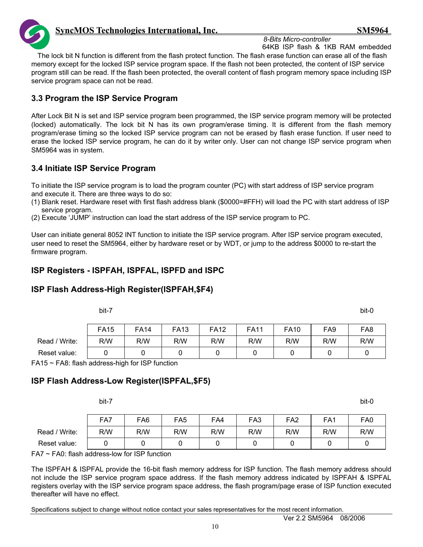

*8-Bits Micro-controller* 

64KB ISP flash & 1KB RAM embedded The lock bit N function is different from the flash protect function. The flash erase function can erase all of the flash memory except for the locked ISP service program space. If the flash not been protected, the content of ISP service program still can be read. If the flash been protected, the overall content of flash program memory space including ISP service program space can not be read.

## **3.3 Program the ISP Service Program**

After Lock Bit N is set and ISP service program been programmed, the ISP service program memory will be protected (locked) automatically. The lock bit N has its own program/erase timing. It is different from the flash memory program/erase timing so the locked ISP service program can not be erased by flash erase function. If user need to erase the locked ISP service program, he can do it by writer only. User can not change ISP service program when SM5964 was in system.

## **3.4 Initiate ISP Service Program**

To initiate the ISP service program is to load the program counter (PC) with start address of ISP service program and execute it. There are three ways to do so:

- (1) Blank reset. Hardware reset with first flash address blank (\$0000=#FFH) will load the PC with start address of ISP service program.
- (2) Execute 'JUMP' instruction can load the start address of the ISP service program to PC.

User can initiate general 8052 INT function to initiate the ISP service program. After ISP service program executed, user need to reset the SM5964, either by hardware reset or by WDT, or jump to the address \$0000 to re-start the firmware program.

## **ISP Registers - ISPFAH, ISPFAL, ISPFD and ISPC**

# **ISP Flash Address-High Register(ISPFAH,\$F4)**

|               | bit-7       |             |             |             |             |             |                 | bit-0           |
|---------------|-------------|-------------|-------------|-------------|-------------|-------------|-----------------|-----------------|
|               | <b>FA15</b> | <b>FA14</b> | <b>FA13</b> | <b>FA12</b> | <b>FA11</b> | <b>FA10</b> | FA <sub>9</sub> | FA <sub>8</sub> |
| Read / Write: | R/W         | R/W         | R/W         | R/W         | R/W         | R/W         | R/W             | R/W             |
| Reset value:  |             |             |             |             |             |             |                 |                 |

 $FA15 \sim FA8$ : flash address-high for ISP function

### **ISP Flash Address-Low Register(ISPFAL,\$F5)**

|               | bit-7 |                 |                 |     |                 |                 |                 | bit-0           |
|---------------|-------|-----------------|-----------------|-----|-----------------|-----------------|-----------------|-----------------|
|               | FA7   | FA <sub>6</sub> | FA <sub>5</sub> | FA4 | FA <sub>3</sub> | FA <sub>2</sub> | FA <sub>1</sub> | FA <sub>0</sub> |
| Read / Write: | R/W   | R/W             | R/W             | R/W | R/W             | R/W             | R/W             | R/W             |
| Reset value:  |       |                 |                 |     |                 |                 |                 |                 |

FA7 ~ FA0: flash address-low for ISP function

The ISPFAH & ISPFAL provide the 16-bit flash memory address for ISP function. The flash memory address should not include the ISP service program space address. If the flash memory address indicated by ISPFAH & ISPFAL registers overlay with the ISP service program space address, the flash program/page erase of ISP function executed thereafter will have no effect.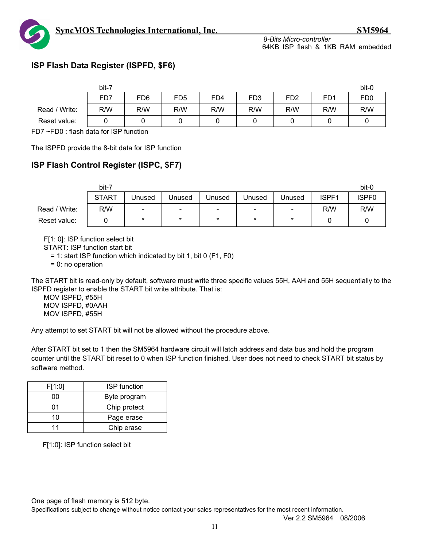



# **ISP Flash Data Register (ISPFD, \$F6)**

|               | bit-7 |                 |                 |                 |                  |                 |                 | bit-0           |
|---------------|-------|-----------------|-----------------|-----------------|------------------|-----------------|-----------------|-----------------|
|               | FD7   | FD <sub>6</sub> | FD <sub>5</sub> | FD <sub>4</sub> | F <sub>D</sub> 3 | FD <sub>2</sub> | FD <sub>1</sub> | FD <sub>0</sub> |
| Read / Write: | R/W   | R/W             | R/W             | R/W             | R/W              | R/W             | R/W             | R/W             |
| Reset value:  |       | υ               |                 |                 |                  |                 |                 |                 |

FD7 ~FD0 : flash data for ISP function

The ISPFD provide the 8-bit data for ISP function

## **ISP Flash Control Register (ISPC, \$F7)**

|               | bit-7        |        |        |                          |                          |         |       | bit-0             |
|---------------|--------------|--------|--------|--------------------------|--------------------------|---------|-------|-------------------|
|               | <b>START</b> | Unused | Unused | Unused                   | Unused                   | Unused  | ISPF1 | ISPF <sub>0</sub> |
| Read / Write: | R/W          | -      | -      | $\overline{\phantom{0}}$ | $\overline{\phantom{0}}$ | $\sim$  | R/W   | R/W               |
| Reset value:  |              |        | *      | $\star$                  | $\star$                  | $\star$ |       |                   |

F[1: 0]: ISP function select bit

START: ISP function start bit

= 1: start ISP function which indicated by bit 1, bit 0 (F1, F0)

= 0: no operation

The START bit is read-only by default, software must write three specific values 55H, AAH and 55H sequentially to the ISPFD register to enable the START bit write attribute. That is:

MOV ISPFD, #55H MOV ISPFD, #0AAH MOV ISPFD, #55H

Any attempt to set START bit will not be allowed without the procedure above.

After START bit set to 1 then the SM5964 hardware circuit will latch address and data bus and hold the program counter until the START bit reset to 0 when ISP function finished. User does not need to check START bit status by software method.

| F[1:0] | <b>ISP</b> function |
|--------|---------------------|
| 00     | Byte program        |
| 01     | Chip protect        |
| 10     | Page erase          |
| 11     | Chip erase          |

F[1:0]: ISP function select bit

One page of flash memory is 512 byte.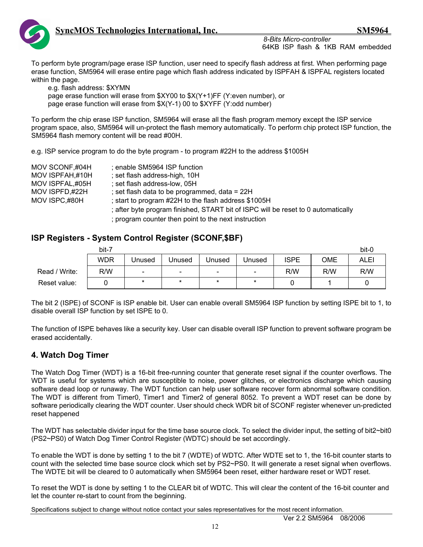

To perform byte program/page erase ISP function, user need to specify flash address at first. When performing page erase function, SM5964 will erase entire page which flash address indicated by ISPFAH & ISPFAL registers located within the page.

 e.g. flash address: \$XYMN page erase function will erase from \$XY00 to \$X(Y+1)FF (Y:even number), or page erase function will erase from \$X(Y-1) 00 to \$XYFF (Y:odd number)

To perform the chip erase ISP function, SM5964 will erase all the flash program memory except the ISP service program space, also, SM5964 will un-protect the flash memory automatically. To perform chip protect ISP function, the SM5964 flash memory content will be read #00H.

e.g. ISP service program to do the byte program - to program #22H to the address \$1005H

| MOV SCONF,#04H<br>MOV ISPFAH,#10H<br>MOV ISPFAL,#05H | ; enable SM5964 ISP function<br>; set flash address-high, 10H<br>; set flash address-low, 05H                                                                                  |
|------------------------------------------------------|--------------------------------------------------------------------------------------------------------------------------------------------------------------------------------|
| MOV ISPFD,#22H                                       | ; set flash data to be programmed, data = $22H$                                                                                                                                |
| MOV ISPC,#80H                                        | ; start to program #22H to the flash address \$1005H                                                                                                                           |
|                                                      | ; after byte program finished, START bit of ISPC will be reset to 0 automatically<br>a como como de la calcula de la calcula de la la ella de la calcula de la calcula de la c |

; program counter then point to the next instruction

#### **ISP Registers - System Control Register (SCONF,\$BF)**

|               | bit-7      |        |                          |        |               |             |     | bit-0       |
|---------------|------------|--------|--------------------------|--------|---------------|-------------|-----|-------------|
|               | <b>WDR</b> | Unused | Unused                   | Unused | <b>Unused</b> | <b>ISPE</b> | OME | <b>ALEI</b> |
| Read / Write: | R/W        | -      | $\overline{\phantom{0}}$ | $\sim$ | $\sim$        | R/W         | R/W | R/W         |
| Reset value:  |            | $\ast$ | $\star$                  | $\ast$ | $\ast$        |             |     |             |

The bit 2 (ISPE) of SCONF is ISP enable bit. User can enable overall SM5964 ISP function by setting ISPE bit to 1, to disable overall ISP function by set ISPE to 0.

The function of ISPE behaves like a security key. User can disable overall ISP function to prevent software program be erased accidentally.

### **4. Watch Dog Timer**

The Watch Dog Timer (WDT) is a 16-bit free-running counter that generate reset signal if the counter overflows. The WDT is useful for systems which are susceptible to noise, power glitches, or electronics discharge which causing software dead loop or runaway. The WDT function can help user software recover form abnormal software condition. The WDT is different from Timer0, Timer1 and Timer2 of general 8052. To prevent a WDT reset can be done by software periodically clearing the WDT counter. User should check WDR bit of SCONF register whenever un-predicted reset happened

The WDT has selectable divider input for the time base source clock. To select the divider input, the setting of bit2~bit0 (PS2~PS0) of Watch Dog Timer Control Register (WDTC) should be set accordingly.

To enable the WDT is done by setting 1 to the bit 7 (WDTE) of WDTC. After WDTE set to 1, the 16-bit counter starts to count with the selected time base source clock which set by PS2~PS0. It will generate a reset signal when overflows. The WDTE bit will be cleared to 0 automatically when SM5964 been reset, either hardware reset or WDT reset.

To reset the WDT is done by setting 1 to the CLEAR bit of WDTC. This will clear the content of the 16-bit counter and let the counter re-start to count from the beginning.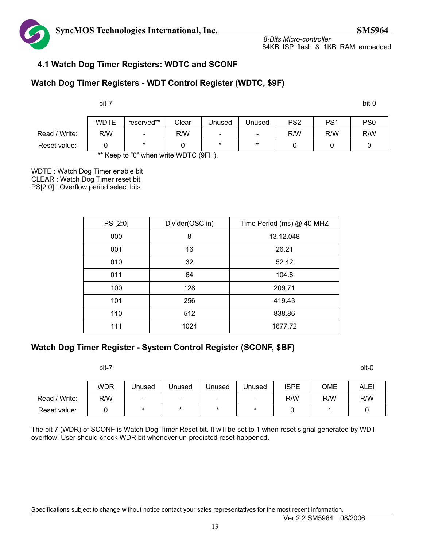

### **4.1 Watch Dog Timer Registers: WDTC and SCONF**

#### **Watch Dog Timer Registers - WDT Control Register (WDTC, \$9F)**

bit-7 bit-0

|               | <b>WDTE</b> | reserved**               | Clear | Jnused                   | Unused | PS <sub>2</sub> | PS <sub>1</sub> | PS <sub>0</sub> |
|---------------|-------------|--------------------------|-------|--------------------------|--------|-----------------|-----------------|-----------------|
| Read / Write: | R/W         | $\overline{\phantom{a}}$ | R/W   | $\overline{\phantom{0}}$ | $\sim$ | R/W             | R/W             | R/W             |
| Reset value:  |             | $\star$                  |       | $\star$                  |        |                 |                 |                 |
|               |             | $\sim$ $\sim$ $\sim$     |       |                          |        |                 |                 |                 |

\*\* Keep to "0" when write WDTC (9FH).

WDTE : Watch Dog Timer enable bit CLEAR : Watch Dog Timer reset bit PS[2:0] : Overflow period select bits

| PS [2:0] | Divider(OSC in) | Time Period (ms) @ 40 MHZ |
|----------|-----------------|---------------------------|
| 000      | 8               | 13.12.048                 |
| 001      | 16              | 26.21                     |
| 010      | 32              | 52.42                     |
| 011      | 64              | 104.8                     |
| 100      | 128             | 209.71                    |
| 101      | 256             | 419.43                    |
| 110      | 512             | 838.86                    |
| 111      | 1024            | 1677.72                   |

# **Watch Dog Timer Register - System Control Register (SCONF, \$BF)**

bit-7 bit-0

|               | WDR | Unused                   | Unused                   | Jnused | Unused | ISPE | OME | ALEI |
|---------------|-----|--------------------------|--------------------------|--------|--------|------|-----|------|
| Read / Write: | R/W | $\overline{\phantom{0}}$ | $\overline{\phantom{0}}$ | $-$    | -      | R/W  | R/W | R/W  |
| Reset value:  |     |                          | ×                        |        |        |      |     |      |

The bit 7 (WDR) of SCONF is Watch Dog Timer Reset bit. It will be set to 1 when reset signal generated by WDT overflow. User should check WDR bit whenever un-predicted reset happened.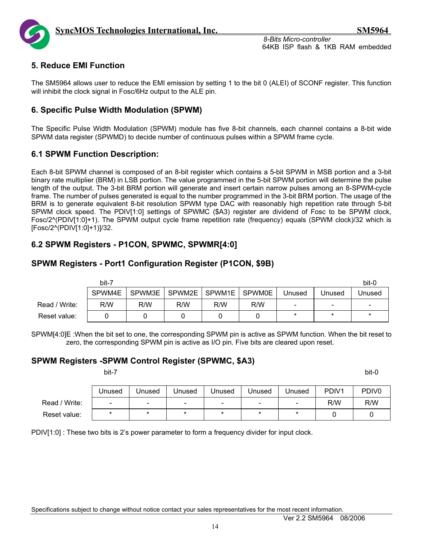

#### **5. Reduce EMI Function**

The SM5964 allows user to reduce the EMI emission by setting 1 to the bit 0 (ALEI) of SCONF register. This function will inhibit the clock signal in Fosc/6Hz output to the ALE pin.

#### **6. Specific Pulse Width Modulation (SPWM)**

The Specific Pulse Width Modulation (SPWM) module has five 8-bit channels, each channel contains a 8-bit wide SPWM data register (SPWMD) to decide number of continuous pulses within a SPWM frame cycle.

#### **6.1 SPWM Function Description:**

Each 8-bit SPWM channel is composed of an 8-bit register which contains a 5-bit SPWM in MSB portion and a 3-bit binary rate multiplier (BRM) in LSB portion. The value programmed in the 5-bit SPWM portion will determine the pulse length of the output. The 3-bit BRM portion will generate and insert certain narrow pulses among an 8-SPWM-cycle frame. The number of pulses generated is equal to the number programmed in the 3-bit BRM portion. The usage of the BRM is to generate equivalent 8-bit resolution SPWM type DAC with reasonably high repetition rate through 5-bit SPWM clock speed. The PDIV[1:0] settings of SPWMC (\$A3) register are dividend of Fosc to be SPWM clock, Fosc/2^(PDIV[1:0]+1). The SPWM output cycle frame repetition rate (frequency) equals (SPWM clock)/32 which is [Fosc/2^(PDIV[1:0]+1)]/32.

### **6.2 SPWM Registers - P1CON, SPWMC, SPWMR[4:0]**

#### **SPWM Registers - Port1 Configuration Register (P1CON, \$9B)**

|               | bit-7  |        |        |        |               |        |        | bit-0                    |
|---------------|--------|--------|--------|--------|---------------|--------|--------|--------------------------|
|               | SPWM4E | SPWM3E | SPWM2E | SPWM1E | <b>SPWM0E</b> | Unused | Jnused | Unused                   |
| Read / Write: | R/W    | R/W    | R/W    | R/W    | R/W           | $\sim$ | -      | $\overline{\phantom{a}}$ |
| Reset value:  |        |        |        |        |               | *      | $\ast$ | $\ast$                   |

SPWM[4:0]E :When the bit set to one, the corresponding SPWM pin is active as SPWM function. When the bit reset to zero, the corresponding SPWM pin is active as I/O pin. Five bits are cleared upon reset.

#### **SPWM Registers -SPWM Control Register (SPWMC, \$A3)**

bit-7 bit-0

|               | Unused                   | Unused | Unused                       | Unused | Unused | Unused | PDIV <sub>1</sub> | PDIV <sub>0</sub> |
|---------------|--------------------------|--------|------------------------------|--------|--------|--------|-------------------|-------------------|
| Read / Write: | $\overline{\phantom{0}}$ | $\sim$ | $\qquad \qquad \blacksquare$ | $\sim$ | -      | -      | R/W               | R/W               |
| Reset value:  |                          |        |                              |        |        |        |                   |                   |

PDIV[1:0] : These two bits is 2's power parameter to form a frequency divider for input clock.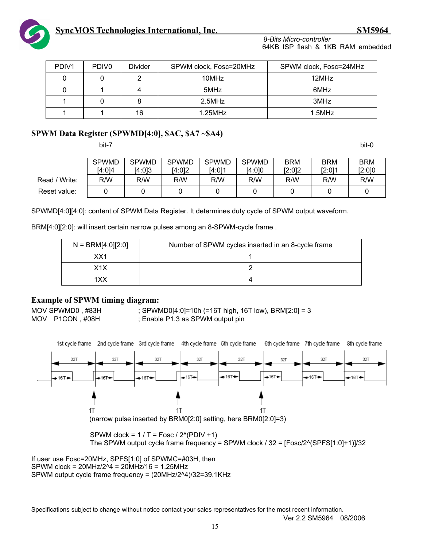

| PDIV <sub>1</sub> | PDIV <sub>0</sub> | <b>Divider</b> | SPWM clock, Fosc=20MHz | SPWM clock, Fosc=24MHz |
|-------------------|-------------------|----------------|------------------------|------------------------|
|                   |                   |                | 10MHz                  | 12MHz                  |
|                   |                   |                | 5MHz                   | 6MHz                   |
|                   |                   |                | $2.5$ MHz              | 3MHz                   |
|                   |                   | 16             | $1.25$ MHz             | $1.5$ MHz              |

#### **SPWM Data Register (SPWMD[4:0], \$AC, \$A7 ~\$A4)**

bit-7 bit-0

|               | <b>SPWMD</b> | <b>SPWMD</b> | <b>SPWMD</b> | <b>SPWMD</b> | <b>SPWMD</b> | BRM    | <b>BRM</b> | <b>BRM</b> |
|---------------|--------------|--------------|--------------|--------------|--------------|--------|------------|------------|
|               | [4:0]4       | [4:0]3       | 14:012       | I4:011       | [4:0]0       | [2:0]2 | [2:0]1     | [2:0]0     |
| Read / Write: | R/W          | R/W          | R/W          | R/W          | R/W          | R/W    | R/W        | R/W        |
| Reset value:  |              |              |              |              |              |        |            |            |

SPWMD[4:0][4:0]: content of SPWM Data Register. It determines duty cycle of SPWM output waveform.

BRM[4:0][2:0]: will insert certain narrow pulses among an 8-SPWM-cycle frame .

| $N = \text{BRM}[4:0][2:0]$ | Number of SPWM cycles inserted in an 8-cycle frame |
|----------------------------|----------------------------------------------------|
| XX1                        |                                                    |
| X1X                        |                                                    |
| 1XX                        |                                                    |

#### **Example of SPWM timing diagram:**

MOV SPWMD0, #83H ; SPWMD0[4:0]=10h (=16T high, 16T low), BRM[2:0] = 3 MOV P1CON, #08H ; Enable P1.3 as SPWM output pin



SPWM clock =  $1/T$  = Fosc / 2^(PDIV +1) The SPWM output cycle frame frequency = SPWM clock  $/$  32 = [Fosc/2 $\text{``SPFS}[1:0]+1$ ]/32

If user use Fosc=20MHz, SPFS[1:0] of SPWMC=#03H, then SPWM clock = 20MHz/2^4 = 20MHz/16 = 1.25MHz SPWM output cycle frame frequency = (20MHz/2^4)/32=39.1KHz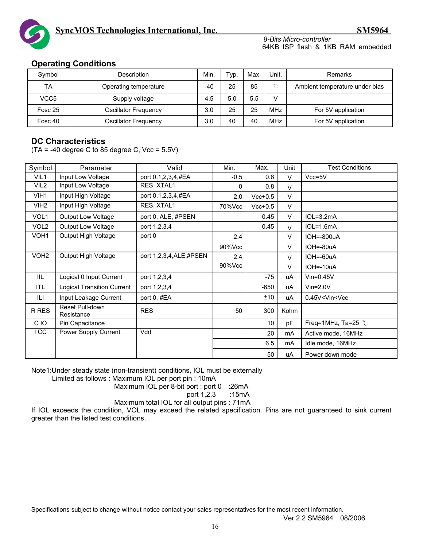

*8-Bits Micro-controller*  64KB ISP flash & 1KB RAM embedded

#### **Operating Conditions**

| Symbol           | Description           | Min. | Typ. | Max. | Unit.      | <b>Remarks</b>                 |
|------------------|-----------------------|------|------|------|------------|--------------------------------|
| TA               | Operating temperature | -40  | 25   | 85   | $\sim$     | Ambient temperature under bias |
| VCC <sub>5</sub> | Supply voltage        | 4.5  | 5.0  | 5.5  | V          |                                |
| Fosc 25          | Oscillator Frequency  | 3.0  | 25   | 25   | <b>MHz</b> | For 5V application             |
| Fosc 40          | Oscillator Frequency  | 3.0  | 40   | 40   | <b>MHz</b> | For 5V application             |

#### **DC Characteristics**

 $(TA = -40$  degree C to 85 degree C, Vcc =  $5.5V$ )

| Symbol           | Parameter                            | Valid                  | Min.   | Max.      | Unit   | <b>Test Conditions</b> |
|------------------|--------------------------------------|------------------------|--------|-----------|--------|------------------------|
| VIL1             | Input Low Voltage                    | port 0,1,2,3,4,#EA     | $-0.5$ | 0.8       | $\vee$ | $Vcc = 5V$             |
| VIL <sub>2</sub> | Input Low Voltage                    | RES, XTAL1             | 0      | 0.8       | $\vee$ |                        |
| VIH1             | Input High Voltage                   | port 0,1,2,3,4,#EA     | 2.0    | $Vcc+0.5$ | $\vee$ |                        |
| VIH <sub>2</sub> | Input High Voltage                   | RES, XTAL1             | 70%Vcc | $Vcc+0.5$ | $\vee$ |                        |
| VOL1             | <b>Output Low Voltage</b>            | port 0, ALE, #PSEN     |        | 0.45      | V      | $IOL=3.2mA$            |
| VOL <sub>2</sub> | <b>Output Low Voltage</b>            | port 1,2,3,4           |        | 0.45      | $\vee$ | $IOL=1.6mA$            |
| VOH <sub>1</sub> | Output High Voltage                  | port 0                 | 2.4    |           | V      | IOH=-800uA             |
|                  |                                      |                        | 90%Vcc |           | V      | $IOH = -80uA$          |
| VOH <sub>2</sub> | Output High Voltage                  | port 1,2,3,4,ALE,#PSEN | 2.4    |           | $\vee$ | IOH=-60uA              |
|                  |                                      |                        | 90%Vcc |           | $\vee$ | $IOH = -10uA$          |
| IIL.             | Logical 0 Input Current              | port 1,2,3,4           |        | $-75$     | uA     | $V$ in=0.45 $V$        |
| ITL              | <b>Logical Transition Current</b>    | port 1,2,3,4           |        | $-650$    | uA     | $V$ in= $2.0V$         |
| ILI              | Input Leakage Current                | port 0, #EA            |        | ±10       | uA     | $0.45V <$ Vin $<$ Vcc  |
| R RES            | <b>Reset Pull-down</b><br>Resistance | <b>RES</b>             | 50     | 300       | Kohm   |                        |
| C IO             | Pin Capacitance                      |                        |        | 10        | pF     | Freq=1MHz, Ta=25 $°C$  |
| I CC             | Power Supply Current                 | Vdd                    |        | 20        | mA     | Active mode, 16MHz     |
|                  |                                      |                        |        | 6.5       | mA     | Idle mode, 16MHz       |
|                  |                                      |                        |        | 50        | uA     | Power down mode        |

Note1:Under steady state (non-transient) conditions, IOL must be externally

Limited as follows : Maximum IOL per port pin : 10mA

Maximum IOL per 8-bit port : port 0 :26mA

port 1,2,3 :15mA

Maximum total IOL for all output pins : 71mA

If IOL exceeds the condition, VOL may exceed the related specification. Pins are not guaranteed to sink current greater than the listed test conditions.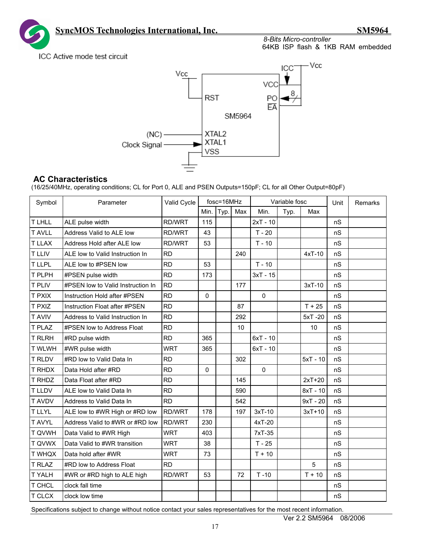*8-Bits Micro-controller* 

64KB ISP flash & 1KB RAM embedded

ICC Active mode test circuit



#### **AC Characteristics**

(16/25/40MHz, operating conditions; CL for Port 0, ALE and PSEN Outputs=150pF; CL for all Other Output=80pF)

| Symbol        | Parameter                         | Valid Cycle   | fosc=16MHz |      | Variable fosc |              |      | Unit       | Remarks |  |
|---------------|-----------------------------------|---------------|------------|------|---------------|--------------|------|------------|---------|--|
|               |                                   |               | Min.       | Typ. | Max           | Min.         | Typ. | Max        |         |  |
| <b>TLHLL</b>  | ALE pulse width                   | RD/WRT        | 115        |      |               | $2xT - 10$   |      |            | nS      |  |
| <b>T AVLL</b> | Address Valid to ALE low          | <b>RD/WRT</b> | 43         |      |               | $T - 20$     |      |            | nS      |  |
| <b>T LLAX</b> | Address Hold after ALE low        | RD/WRT        | 53         |      |               | $T - 10$     |      |            | nS      |  |
| <b>T LLIV</b> | ALE low to Valid Instruction In   | <b>RD</b>     |            |      | 240           |              |      | $4xT-10$   | nS      |  |
| T LLPL        | ALE low to #PSEN low              | <b>RD</b>     | 53         |      |               | $T - 10$     |      |            | nS      |  |
| T PLPH        | #PSEN pulse width                 | <b>RD</b>     | 173        |      |               | $3xT - 15$   |      |            | nS      |  |
| <b>T PLIV</b> | #PSEN low to Valid Instruction In | <b>RD</b>     |            |      | 177           |              |      | $3xT-10$   | nS      |  |
| <b>T PXIX</b> | Instruction Hold after #PSEN      | <b>RD</b>     | 0          |      |               | $\mathbf 0$  |      |            | nS      |  |
| T PXIZ        | Instruction Float after #PSEN     | <b>RD</b>     |            |      | 87            |              |      | $T + 25$   | nS      |  |
| <b>T AVIV</b> | Address to Valid Instruction In   | <b>RD</b>     |            |      | 292           |              |      | 5xT-20     | nS      |  |
| T PLAZ        | #PSEN low to Address Float        | <b>RD</b>     |            |      | 10            |              |      | 10         | nS      |  |
| <b>T RLRH</b> | #RD pulse width                   | <b>RD</b>     | 365        |      |               | $6xT - 10$   |      |            | nS      |  |
| <b>T WLWH</b> | #WR pulse width                   | <b>WRT</b>    | 365        |      |               | $6xT - 10$   |      |            | nS      |  |
| <b>T RLDV</b> | #RD low to Valid Data In          | <b>RD</b>     |            |      | 302           |              |      | $5xT - 10$ | nS      |  |
| T RHDX        | Data Hold after #RD               | <b>RD</b>     | 0          |      |               | $\mathbf{0}$ |      |            | nS      |  |
| T RHDZ        | Data Float after #RD              | <b>RD</b>     |            |      | 145           |              |      | $2xT+20$   | nS      |  |
| <b>T LLDV</b> | ALE low to Valid Data In          | <b>RD</b>     |            |      | 590           |              |      | $8xT - 10$ | nS      |  |
| <b>T AVDV</b> | Address to Valid Data In          | <b>RD</b>     |            |      | 542           |              |      | $9xT - 20$ | nS      |  |
| <b>TLLYL</b>  | ALE low to #WR High or #RD low    | RD/WRT        | 178        |      | 197           | $3xT-10$     |      | $3xT+10$   | nS      |  |
| T AVYL        | Address Valid to #WR or #RD low   | <b>RD/WRT</b> | 230        |      |               | 4xT-20       |      |            | nS      |  |
| T QVWH        | Data Valid to #WR High            | <b>WRT</b>    | 403        |      |               | 7xT-35       |      |            | nS      |  |
| T QVWX        | Data Valid to #WR transition      | <b>WRT</b>    | 38         |      |               | $T - 25$     |      |            | nS      |  |
| <b>T WHQX</b> | Data hold after #WR               | <b>WRT</b>    | 73         |      |               | $T + 10$     |      |            | nS      |  |
| <b>T RLAZ</b> | #RD low to Address Float          | <b>RD</b>     |            |      |               |              |      | 5          | nS      |  |
| T YALH        | #WR or #RD high to ALE high       | RD/WRT        | 53         |      | 72            | $T - 10$     |      | $T + 10$   | nS      |  |
| T CHCL        | clock fall time                   |               |            |      |               |              |      |            | nS      |  |
| T CLCX        | clock low time                    |               |            |      |               |              |      |            | nS      |  |

Specifications subject to change without notice contact your sales representatives for the most recent information.

Ver 2.2 SM5964 08/2006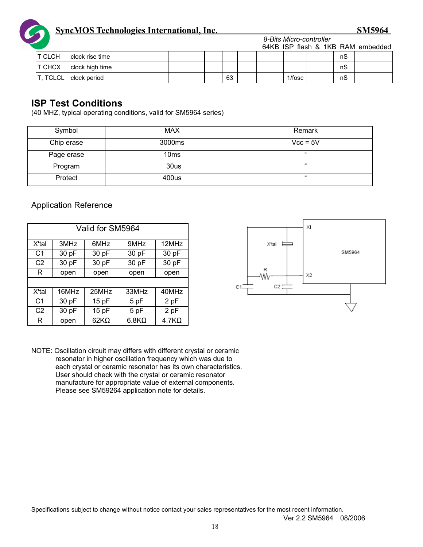

|                |                       |  | _ _ _ _ _ _ _ _ _ _ _ _ _ _ _ _ _ |  |  |           |  |    |                                   |
|----------------|-----------------------|--|-----------------------------------|--|--|-----------|--|----|-----------------------------------|
|                |                       |  |                                   |  |  |           |  |    | 64KB ISP flash & 1KB RAM embedded |
| IT CLCH        | I clock rise time     |  |                                   |  |  |           |  | nS |                                   |
| <b>IT CHCX</b> | clock high time       |  |                                   |  |  |           |  | nS |                                   |
|                | T, TCLCL clock period |  | 63                                |  |  | $1/f$ osc |  | nS |                                   |

# **ISP Test Conditions**

(40 MHZ, typical operating conditions, valid for SM5964 series)

| Symbol     | <b>MAX</b>         | Remark     |
|------------|--------------------|------------|
| Chip erase | 3000 <sub>ms</sub> | $Vcc = 5V$ |
| Page erase | 10 <sub>ms</sub>   | $^{16}$    |
| Program    | 30us               | $^{16}$    |
| Protect    | 400us              | $^{16}$    |

#### Application Reference

| Valid for SM5964 |       |             |              |              |  |  |  |  |
|------------------|-------|-------------|--------------|--------------|--|--|--|--|
| X'tal            | 3MHz  | 6MHz        | 9MHz         | 12MHz        |  |  |  |  |
| C <sub>1</sub>   | 30 pF | 30 pF       | 30 pF        | 30 pF        |  |  |  |  |
| C <sub>2</sub>   | 30 pF | 30 pF       | 30 pF        | 30 pF        |  |  |  |  |
| R                | open  | open        | open         | open         |  |  |  |  |
|                  |       |             |              |              |  |  |  |  |
| X'tal            | 16MHz | 25MHz       | 33MHz        | 40MHz        |  |  |  |  |
| C <sub>1</sub>   | 30 pF | 15pF        | 5 pF         | 2 pF         |  |  |  |  |
| C <sub>2</sub>   | 30 pF | 15 pF       | 5 pF         | 2 pF         |  |  |  |  |
| R                | open  | $62K\Omega$ | $6.8K\Omega$ | $4.7K\Omega$ |  |  |  |  |



*8-Bits Micro-controller* 

NOTE: Oscillation circuit may differs with different crystal or ceramic resonator in higher oscillation frequency which was due to each crystal or ceramic resonator has its own characteristics. User should check with the crystal or ceramic resonator manufacture for appropriate value of external components. Please see SM59264 application note for details.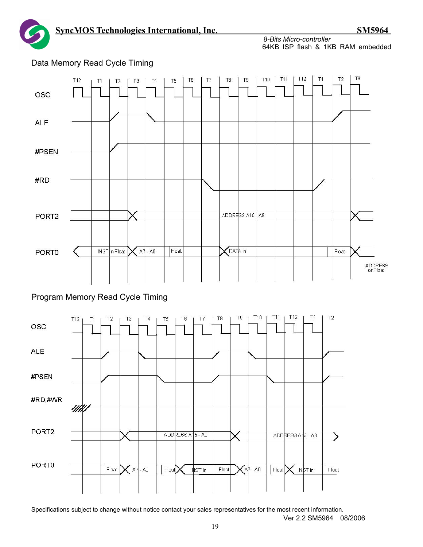*8-Bits Micro-controller*  64KB ISP flash & 1KB RAM embedded



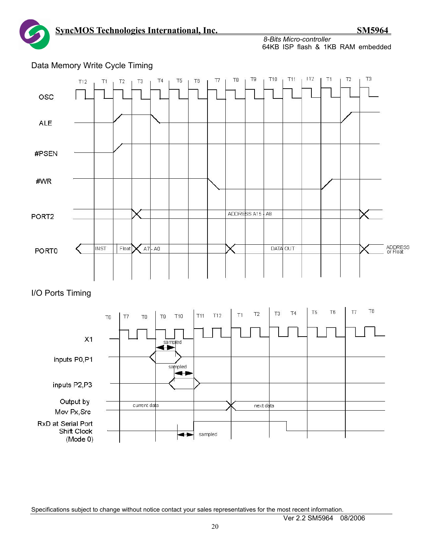*8-Bits Micro-controller*  64KB ISP flash & 1KB RAM embedded



Data Memory Write Cycle Timing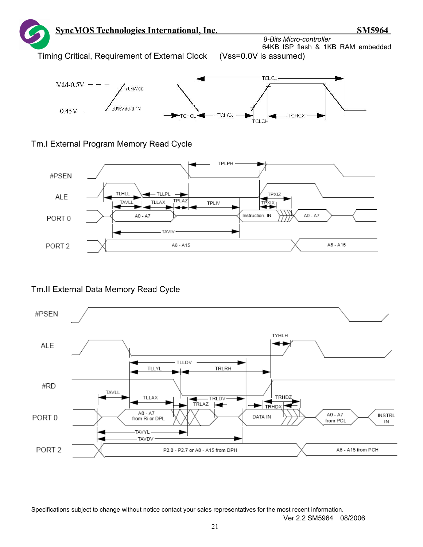



# Tm.I External Program Memory Read Cycle



# Tm.II External Data Memory Read Cycle

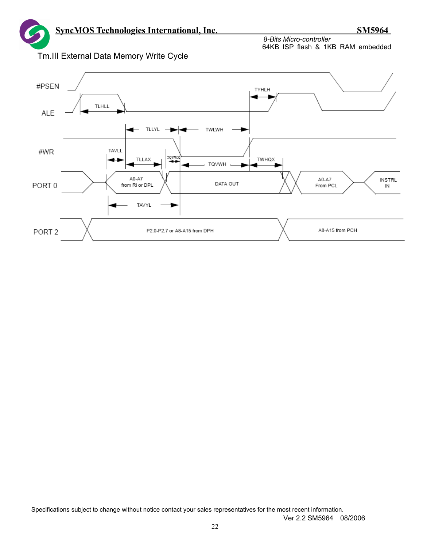

Tm.III External Data Memory Write Cycle

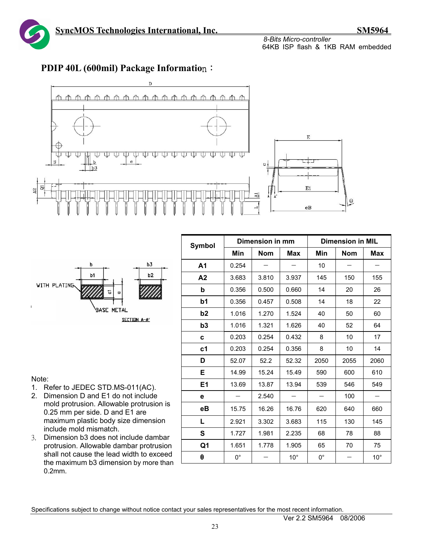![](_page_22_Picture_1.jpeg)

![](_page_22_Figure_4.jpeg)

# **PDIP 40L (600mil) Package Informatio**n:

![](_page_22_Figure_6.jpeg)

| <b>Symbol</b>  |             | Dimension in mm |              | <b>Dimension in MIL</b> |            |              |  |
|----------------|-------------|-----------------|--------------|-------------------------|------------|--------------|--|
|                | Min         | <b>Nom</b>      | Max          | Min                     | <b>Nom</b> | <b>Max</b>   |  |
| A1             | 0.254       |                 |              | 10                      |            |              |  |
| A2             | 3.683       | 3.810           | 3.937        | 145                     | 150        | 155          |  |
| b              | 0.356       | 0.500           | 0.660        | 14                      | 20         | 26           |  |
| b <sub>1</sub> | 0.356       | 0.457           | 0.508        | 14                      | 18         | 22           |  |
| b2             | 1.016       | 1.270           | 1.524        | 40                      | 50         | 60           |  |
| b <sub>3</sub> | 1.016       | 1.321           | 1.626        | 40                      | 52         | 64           |  |
| c              | 0.203       | 0.254           | 0.432        | 8                       | 10         | 17           |  |
| c1             | 0.203       | 0.254           | 0.356        | 8                       | 10         | 14           |  |
| D              | 52.07       | 52.2            | 52.32        | 2050                    | 2055       | 2060         |  |
| Е              | 14.99       | 15.24           | 15.49        | 590                     | 600        | 610          |  |
| E1             | 13.69       | 13.87           | 13.94        | 539                     | 546        | 549          |  |
| е              |             | 2.540           |              |                         | 100        |              |  |
| eВ             | 15.75       | 16.26           | 16.76        | 620                     | 640        | 660          |  |
| L              | 2.921       | 3.302           | 3.683        | 115                     | 130        | 145          |  |
| S              | 1.727       | 1.981           | 2.235        | 68                      | 78         | 88           |  |
| Q1             | 1.651       | 1.778           | 1.905        | 65                      | 70         | 75           |  |
| θ              | $0^{\circ}$ |                 | $10^{\circ}$ | $0^{\circ}$             |            | $10^{\circ}$ |  |

#### Note:

- 1. Refer to JEDEC STD.MS-011(AC).
- 2. Dimension D and E1 do not include mold protrusion. Allowable protrusion is 0.25 mm per side. D and E1 are maximum plastic body size dimension include mold mismatch.
- 3. Dimension b3 does not include dambar protrusion. Allowable dambar protrusion shall not cause the lead width to exceed the maximum b3 dimension by more than 0.2mm.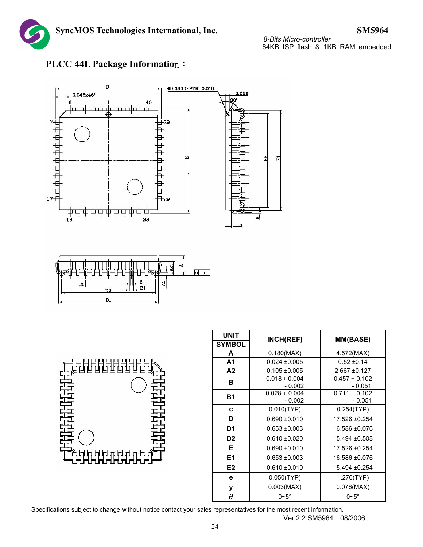![](_page_23_Picture_1.jpeg)

![](_page_23_Figure_4.jpeg)

![](_page_23_Figure_5.jpeg)

| 山山<br>山<br>h.<br>h |  |
|--------------------|--|
|                    |  |
|                    |  |

| <b>UNIT</b>    | INCH(REF)                   | <b>MM(BASE)</b>             |  |  |
|----------------|-----------------------------|-----------------------------|--|--|
| <b>SYMBOL</b>  |                             |                             |  |  |
| A              | 0.180(MAX)                  | 4.572(MAX)                  |  |  |
| A <sub>1</sub> | $0.024 + 0.005$             | $0.52 + 0.14$               |  |  |
| A2             | $0.105 + 0.005$             | $2.667 + 0.127$             |  |  |
| в              | $0.018 + 0.004$<br>- 0.002  | $0.457 + 0.102$<br>- 0.051  |  |  |
| <b>B1</b>      | $0.028 + 0.004$<br>$-0.002$ | $0.711 + 0.102$<br>$-0.051$ |  |  |
| C              | 0.010(TYP)                  | 0.254(TYP)                  |  |  |
| D              | $0.690 + 0.010$             | 17.526 ±0.254               |  |  |
| D1             | $0.653 + 0.003$             | 16.586 ±0.076               |  |  |
| D <sub>2</sub> | $0.610 + 0.020$             | 15.494 ±0.508               |  |  |
| Е              | $0.690 + 0.010$             | 17.526 ±0.254               |  |  |
| E1             | $0.653 + 0.003$             | 16.586 ±0.076               |  |  |
| E <sub>2</sub> | $0.610 + 0.010$             | 15.494 ±0.254               |  |  |
| e              | 0.050(TYP)                  | 1.270(TYP)                  |  |  |
| у              | 0.003(MAX)                  | 0.076(MAX)                  |  |  |
| Ĥ              | $0\neg 5^\circ$             | $0\nu 5^\circ$              |  |  |

Specifications subject to change without notice contact your sales representatives for the most recent information.

Ver 2.2 SM5964 08/2006

# **PLCC 44L Package Informatio**n: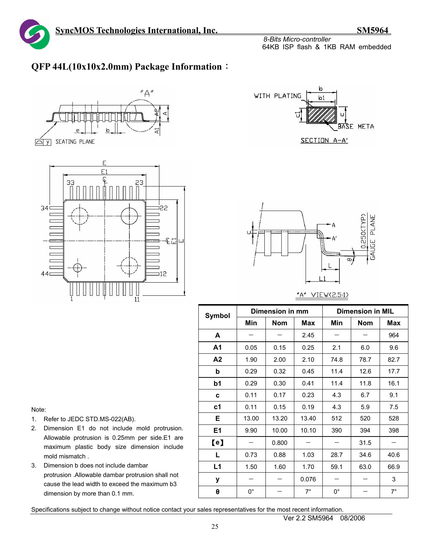# **QFP 44L(10x10x2.0mm) Package Information**:

![](_page_24_Figure_5.jpeg)

![](_page_24_Figure_6.jpeg)

![](_page_24_Figure_7.jpeg)

![](_page_24_Figure_8.jpeg)

#### "A" VIEW(2.5:1)

| <b>Symbol</b>  |             | Dimension in mm |            | <b>Dimension in MIL</b> |            |             |  |
|----------------|-------------|-----------------|------------|-------------------------|------------|-------------|--|
|                | Min         | <b>Nom</b>      | <b>Max</b> | Min                     | <b>Nom</b> | <b>Max</b>  |  |
| A              |             |                 | 2.45       |                         |            | 964         |  |
| A <sub>1</sub> | 0.05        | 0.15            | 0.25       | 2.1                     | 6.0        | 9.6         |  |
| A2             | 1.90        | 2.00            | 2.10       | 74.8                    | 78.7       | 82.7        |  |
| b              | 0.29        | 0.32            | 0.45       | 11.4                    | 12.6       | 17.7        |  |
| b1             | 0.29        | 0.30            | 0.41       | 11.4                    | 11.8       | 16.1        |  |
| C              | 0.11        | 0.17            | 0.23       | 4.3                     | 6.7        | 9.1         |  |
| c <sub>1</sub> | 0.11        | 0.15            | 0.19       | 4.3                     | 5.9        | 7.5         |  |
| Е              | 13.00       | 13.20           | 13.40      | 512                     | 520        | 528         |  |
| E1             | 9.90        | 10.00           | 10.10      | 390                     | 394        | 398         |  |
| $\blacksquare$ |             | 0.800           |            |                         | 31.5       |             |  |
| L              | 0.73        | 0.88            | 1.03       | 28.7                    | 34.6       | 40.6        |  |
| L1             | 1.50        | 1.60            | 1.70       | 59.1                    | 63.0       | 66.9        |  |
| у              |             |                 | 0.076      |                         |            | 3           |  |
| θ              | $0^{\circ}$ |                 | $7^\circ$  | $0^{\circ}$             |            | $7^{\circ}$ |  |

#### Note:

- 1. Refer to JEDC STD.MS-022(AB).
- 2. Dimension E1 do not include mold protrusion. Allowable protrusion is 0.25mm per side.E1 are maximum plastic body size dimension include mold mismatch .
- 3. Dimension b does not include dambar protrusion .Allowable dambar protrusion shall not cause the lead width to exceed the maximum b3 dimension by more than 0.1 mm.